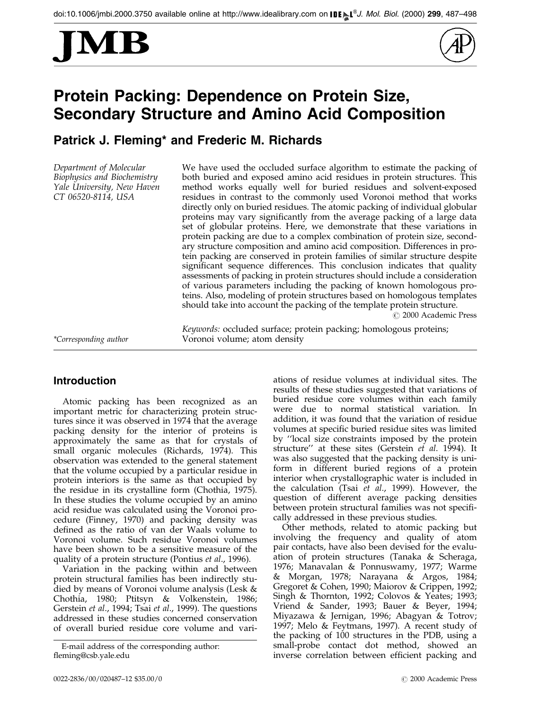



# Protein Packing: Dependence on Protein Size, Secondary Structure and Amino Acid Composition

Patrick J. Fleming\* and Frederic M. Richards

Department of Molecular Biophysics and Biochemistry Yale University, New Haven CT 06520-8114, USA

We have used the occluded surface algorithm to estimate the packing of both buried and exposed amino acid residues in protein structures. This method works equally well for buried residues and solvent-exposed residues in contrast to the commonly used Voronoi method that works directly only on buried residues. The atomic packing of individual globular proteins may vary significantly from the average packing of a large data set of globular proteins. Here, we demonstrate that these variations in protein packing are due to a complex combination of protein size, secondary structure composition and amino acid composition. Differences in protein packing are conserved in protein families of similar structure despite significant sequence differences. This conclusion indicates that quality assessments of packing in protein structures should include a consideration of various parameters including the packing of known homologous proteins. Also, modeling of protein structures based on homologous templates should take into account the packing of the template protein structure.

© 2000 Academic Press

Keywords: occluded surface; protein packing; homologous proteins; \*Corresponding author Voronoi volume; atom density

# Introduction

Atomic packing has been recognized as an important metric for characterizing protein structures since it was observed in 1974 that the average packing density for the interior of proteins is approximately the same as that for crystals of small organic molecules [\(Richards](#page-11-0), 1974). This observation was extended to the general statement that the volume occupied by a particular residue in protein interiors is the same as that occupied by the residue in its crystalline form [\(Chothia,](#page-10-0) 1975). In these studies the volume occupied by an amino acid residue was calculated using the Voronoi procedure [\(Finney,](#page-10-0) 1970) and packing density was defined as the ratio of van der Waals volume to Voronoi volume. Such residue Voronoi volumes have been shown to be a sensitive measure of the quality of a protein structure [\(Pontius](#page-11-0) et al., 1996).

Variation in the packing within and between protein structural families has been indirectly studied by means of Voronoi volume analysis [\(Lesk &](#page-11-0) Chothia, 1980; [Ptitsyn](#page-11-0) & Volkenstein, 1986; [Gerstein](#page-10-0) et al., 1994; [Tsai](#page-11-0) et al., 1999). The questions addressed in these studies concerned conservation of overall buried residue core volume and vari-

E-mail address of the corresponding author: fleming@csb.yale.edu

ations of residue volumes at individual sites. The results of these studies suggested that variations of buried residue core volumes within each family were due to normal statistical variation. In addition, it was found that the variation of residue volumes at specific buried residue sites was limited by "local size constraints imposed by the protein structure" at these sites [\(Gerstein](#page-10-0) et al. 1994). It was also suggested that the packing density is uniform in different buried regions of a protein interior when crystallographic water is included in the calculation [\(Tsai](#page-11-0) et al., 1999). However, the question of different average packing densities between protein structural families was not specifically addressed in these previous studies.

Other methods, related to atomic packing but involving the frequency and quality of atom pair contacts, have also been devised for the evaluation of protein structures [\(Tanaka](#page-11-0) & Scheraga, 1976; Manavalan & Ponnuswamy, 1977; [Warme](#page-11-0) & Morgan, 1978; [Narayan](#page-11-0)a & Argos, 1984; [Gregoret](#page-10-0) & Cohen, 1990; Maiorov & Crippen, 1992; [Singh &](#page-11-0) Thornton, 1992; Colovos & Yeates; 1993; [Vriend](#page-11-0) & Sander, 1993; [Bauer &](#page-10-0) Beyer, 1994; [Miyazaw](#page-11-0)a & Jernigan, 1996; Abagyan & Totrov; 1997; [Melo &](#page-11-0) Feytmans, 1997). A recent study of the packing of 100 structures in the PDB, using a small-probe contact dot method, showed an inverse correlation between efficient packing and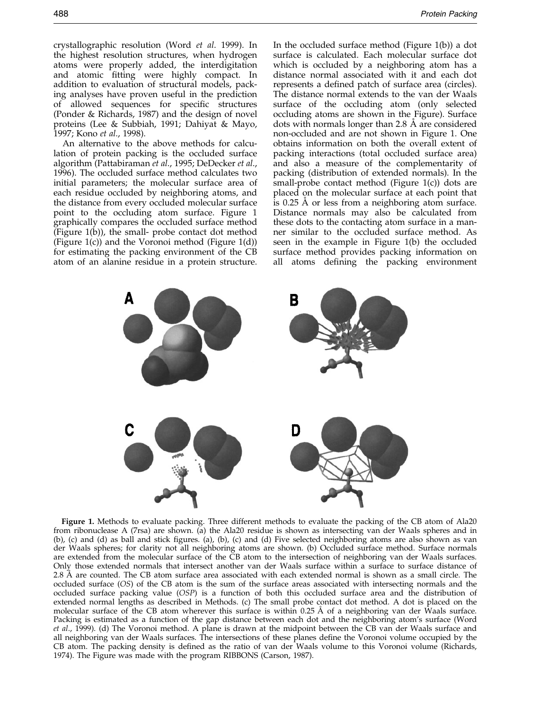crystallographic resolution [\(Word](#page-11-0) et al. 1999). In the highest resolution structures, when hydrogen atoms were properly added, the interdigitation and atomic fitting were highly compact. In addition to evaluation of structural models, packing analyses have proven useful in the prediction of allowed sequences for specific structures [\(Ponder &](#page-11-0) Richards, 1987) and the design of novel proteins [\(Lee & S](#page-11-0)ubbiah, 1991; [Dahiyat](#page-10-0) & Mayo, 1997[; Kono](#page-11-0) et al., 1998).

An alternative to the above methods for calculation of protein packing is the occluded surface algorithm [\(Pattabira](#page-11-0)man et al., 1995; [DeDecke](#page-10-0)r et al., 1996). The occluded surface method calculates two initial parameters; the molecular surface area of each residue occluded by neighboring atoms, and the distance from every occluded molecular surface point to the occluding atom surface. Figure 1 graphically compares the occluded surface method (Figure 1(b)), the small- probe contact dot method (Figure 1(c)) and the Voronoi method (Figure 1(d)) for estimating the packing environment of the CB atom of an alanine residue in a protein structure.

In the occluded surface method (Figure 1(b)) a dot surface is calculated. Each molecular surface dot which is occluded by a neighboring atom has a distance normal associated with it and each dot represents a defined patch of surface area (circles). The distance normal extends to the van der Waals surface of the occluding atom (only selected occluding atoms are shown in the Figure). Surface dots with normals longer than 2.8 A are considered non-occluded and are not shown in Figure 1. One obtains information on both the overall extent of packing interactions (total occluded surface area) and also a measure of the complementarity of packing (distribution of extended normals). In the small-probe contact method (Figure 1(c)) dots are placed on the molecular surface at each point that is 0.25 A or less from a neighboring atom surface. Distance normals may also be calculated from these dots to the contacting atom surface in a manner similar to the occluded surface method. As seen in the example in Figure 1(b) the occluded surface method provides packing information on all atoms defining the packing environment



Figure 1. Methods to evaluate packing. Three different methods to evaluate the packing of the CB atom of Ala20 from ribonuclease A (7rsa) are shown. (a) the Ala20 residue is shown as intersecting van der Waals spheres and in (b), (c) and (d) as ball and stick figures. (a), (b), (c) and (d) Five selected neighboring atoms are also shown as van der Waals spheres; for clarity not all neighboring atoms are shown. (b) Occluded surface method. Surface normals are extended from the molecular surface of the CB atom to the intersection of neighboring van der Waals surfaces. Only those extended normals that intersect another van der Waals surface within a surface to surface distance of 2.8 Å are counted. The CB atom surface area associated with each extended normal is shown as a small circle. The occluded surface (OS) of the CB atom is the sum of the surface areas associated with intersecting normals and the occluded surface packing value (OSP) is a function of both this occluded surface area and the distribution of extended normal lengths as described in Methods. (c) The small probe contact dot method. A dot is placed on the molecular surface of the CB atom wherever this surface is within 0.25 Å of a neighboring van der Waals surface. Packing is estimated as a function of the gap distance between each dot and the neighboring atom's surface [\(Word](#page-11-0) et al., 1999). (d) The Voronoi method. A plane is drawn at the midpoint between the CB van der Waals surface and all neighboring van der Waals surfaces. The intersections of these planes define the Voronoi volume occupied by the CB atom. The packing density is defined as the ratio of van der Waals volume to this Voronoi volume [\(Richards,](#page-11-0) 1974). The Figure was made with the program RIBBONS [\(Carson, 1](#page-10-0)987).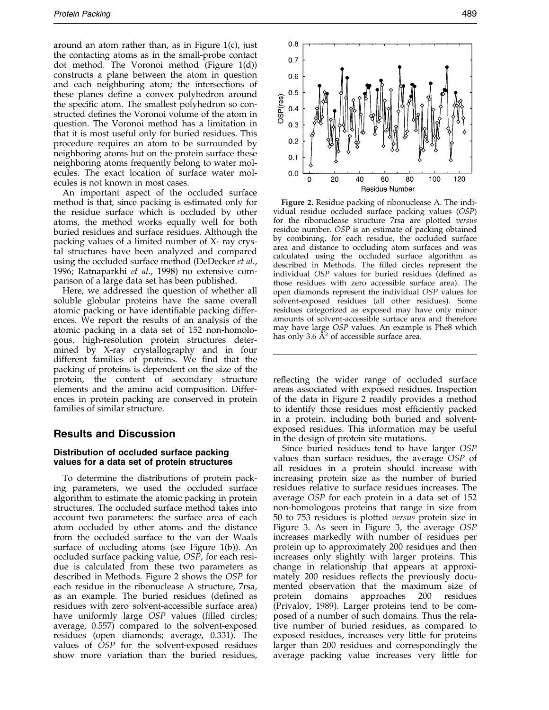around an atom rather than, as in Figure 1(c), just the contacting atoms as in the small-probe contact dot method. The Voronoi method (Figure 1(d)) constructs a plane between the atom in question and each neighboring atom; the intersections of these planes define a convex polyhedron around the specific atom. The smallest polyhedron so constructed defines the Voronoi volume of the atom in question. The Voronoi method has a limitation in that it is most useful only for buried residues. This procedure requires an atom to be surrounded by neighboring atoms but on the protein surface these neighboring atoms frequently belong to water molecules. The exact location of surface water molecules is not known in most cases.

An important aspect of the occluded surface method is that, since packing is estimated only for the residue surface which is occluded by other atoms, the method works equally well for both buried residues and surface residues. Although the packing values of a limited number of X- ray crystal structures have been analyzed and compared using the occluded surface method [\(DeDecke](#page-10-0)r *et al.*, 1996; [Ratnapar](#page-11-0)khi et al., 1998) no extensive comparison of a large data set has been published.

Here, we addressed the question of whether all soluble globular proteins have the same overall atomic packing or have identifiable packing differences. We report the results of an analysis of the atomic packing in a data set of 152 non-homologous, high-resolution protein structures determined by X-ray crystallography and in four different families of proteins. We find that the packing of proteins is dependent on the size of the protein, the content of secondary structure elements and the amino acid composition. Differences in protein packing are conserved in protein families of similar structure.

# Results and Discussion

## Distribution of occluded surface packing values for a data set of protein structures

To determine the distributions of protein packing parameters, we used the occluded surface algorithm to estimate the atomic packing in protein structures. The occluded surface method takes into account two parameters: the surface area of each atom occluded by other atoms and the distance from the occluded surface to the van der Waals surface of occluding atoms (see Figure 1(b)). An occluded surface packing value, OSP, for each residue is calculated from these two parameters as described in Methods. Figure 2 shows the OSP for each residue in the ribonuclease A structure, 7rsa, as an example. The buried residues (defined as residues with zero solvent-accessible surface area) have uniformly large OSP values (filled circles; average, 0.557) compared to the solvent-exposed residues (open diamonds; average, 0.331). The values of OSP for the solvent-exposed residues show more variation than the buried residues,



Figure 2. Residue packing of ribonuclease A. The individual residue occluded surface packing values (OSP) for the ribonuclease structure 7rsa are plotted versus residue number. OSP is an estimate of packing obtained by combining, for each residue, the occluded surface area and distance to occluding atom surfaces and was calculated using the occluded surface algorithm as described in Methods. The filled circles represent the individual OSP values for buried residues (defined as those residues with zero accessible surface area). The open diamonds represent the individual OSP values for solvent-exposed residues (all other residues). Some residues categorized as exposed may have only minor amounts of solvent-accessible surface area and therefore may have large OSP values. An example is Phe8 which has only 3.6  $\AA^2$  of accessible surface area.

reflecting the wider range of occluded surface areas associated with exposed residues. Inspection of the data in Figure 2 readily provides a method to identify those residues most efficiently packed in a protein, including both buried and solventexposed residues. This information may be useful in the design of protein site mutations.

Since buried residues tend to have larger OSP values than surface residues, the average OSP of all residues in a protein should increase with increasing protein size as the number of buried residues relative to surface residues increases. The average OSP for each protein in a data set of 152 non-homologous proteins that range in size from 50 to 753 residues is plotted versus protein size in Figure 3. As seen in Figure 3, the average OSP increases markedly with number of residues per protein up to approximately 200 residues and then increases only slightly with larger proteins. This change in relationship that appears at approximately 200 residues reflects the previously documented observation that the maximum size of protein domains approaches 200 residues [\(Privalov](#page-11-0), 1989). Larger proteins tend to be composed of a number of such domains. Thus the relative number of buried residues, as compared to exposed residues, increases very little for proteins larger than 200 residues and correspondingly the average packing value increases very little for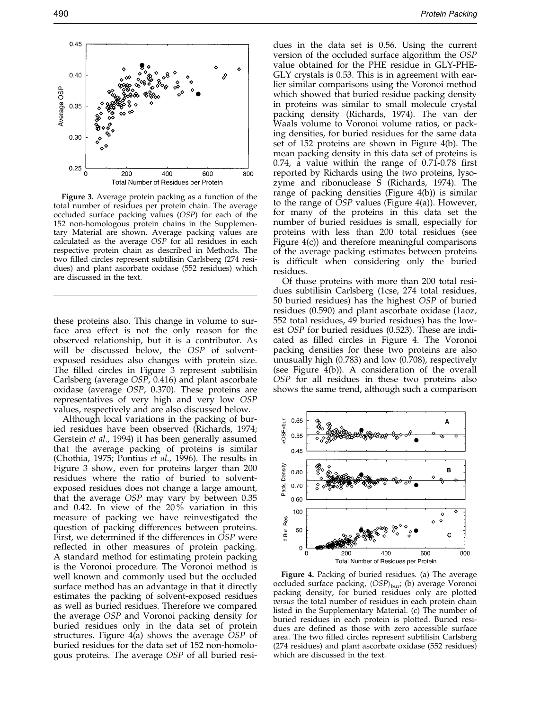

Figure 3. Average protein packing as a function of the total number of residues per protein chain. The average occluded surface packing values (OSP) for each of the 152 non-homologous protein chains in the Supplementary Material are shown. Average packing values are calculated as the average OSP for all residues in each respective protein chain as described in Methods. The two filled circles represent subtilisin Carlsberg (274 residues) and plant ascorbate oxidase (552 residues) which are discussed in the text.

these proteins also. This change in volume to surface area effect is not the only reason for the observed relationship, but it is a contributor. As will be discussed below, the OSP of solventexposed residues also changes with protein size. The filled circles in Figure 3 represent subtilisin Carlsberg (average OSP, 0.416) and plant ascorbate oxidase (average OSP, 0.370). These proteins are representatives of very high and very low OSP values, respectively and are also discussed below.

Although local variations in the packing of buried residues have been observed (Richards, 1974; [Gerstein](#page-10-0) et al., 1994) it has been generally assumed that the average packing of proteins is similar [\(Chothia,](#page-10-0) 1975; [Pontius](#page-11-0) et al., 1996). The results in Figure 3 show, even for proteins larger than 200 residues where the ratio of buried to solventexposed residues does not change a large amount, that the average OSP may vary by between 0.35 and 0.42. In view of the 20 % variation in this measure of packing we have reinvestigated the question of packing differences between proteins. First, we determined if the differences in OSP were reflected in other measures of protein packing. A standard method for estimating protein packing is the Voronoi procedure. The Voronoi method is well known and commonly used but the occluded surface method has an advantage in that it directly estimates the packing of solvent-exposed residues as well as buried residues. Therefore we compared the average OSP and Voronoi packing density for buried residues only in the data set of protein structures. Figure 4(a) shows the average OSP of buried residues for the data set of 152 non-homologous proteins. The average OSP of all buried resi-

dues in the data set is 0.56. Using the current version of the occluded surface algorithm the OSP value obtained for the PHE residue in GLY-PHE-GLY crystals is 0.53. This is in agreement with earlier similar comparisons using the Voronoi method which showed that buried residue packing density in proteins was similar to small molecule crystal packing density [\(Richards](#page-11-0), 1974). The van der Waals volume to Voronoi volume ratios, or packing densities, for buried residues for the same data set of 152 proteins are shown in Figure 4(b). The mean packing density in this data set of proteins is  $0.74$ , a value within the range of  $0.71$ - $0.78$  first reported by Richards using the two proteins, lysozyme and ribonuclease S [\(Richards](#page-11-0), 1974). The range of packing densities (Figure 4(b)) is similar to the range of OSP values (Figure 4(a)). However, for many of the proteins in this data set the number of buried residues is small, especially for proteins with less than 200 total residues (see Figure 4(c)) and therefore meaningful comparisons of the average packing estimates between proteins is difficult when considering only the buried residues.

Of those proteins with more than 200 total residues subtilisin Carlsberg (1cse, 274 total residues, 50 buried residues) has the highest OSP of buried residues (0.590) and plant ascorbate oxidase (1aoz, 552 total residues, 49 buried residues) has the lowest OSP for buried residues (0.523). These are indicated as filled circles in Figure 4. The Voronoi packing densities for these two proteins are also unusually high (0.783) and low (0.708), respectively (see Figure 4(b)). A consideration of the overall OSP for all residues in these two proteins also shows the same trend, although such a comparison



Figure 4. Packing of buried residues. (a) The average occluded surface packing,  $\langle OSP \rangle_{\text{bur}}$ ; (b) average Voronoi packing density, for buried residues only are plotted versus the total number of residues in each protein chain listed in the Supplementary Material. (c) The number of buried residues in each protein is plotted. Buried residues are defined as those with zero accessible surface area. The two filled circles represent subtilisin Carlsberg (274 residues) and plant ascorbate oxidase (552 residues) which are discussed in the text.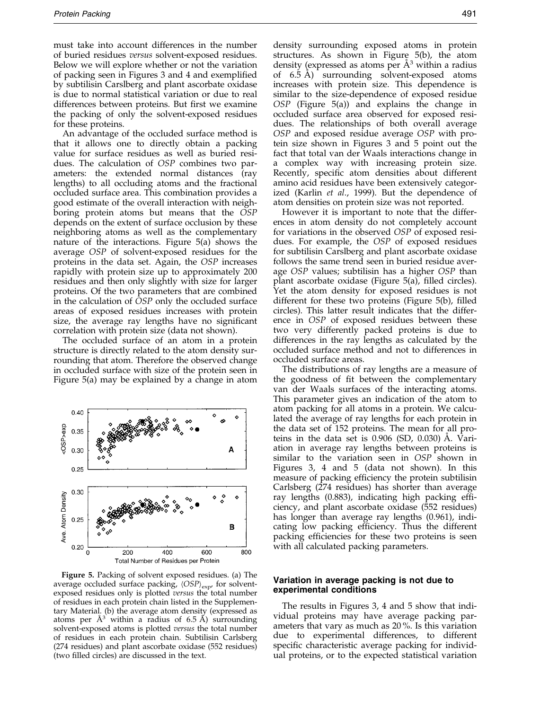must take into account differences in the number of buried residues versus solvent-exposed residues. Below we will explore whether or not the variation of packing seen in Figures 3 and 4 and exemplified by subtilisin Carslberg and plant ascorbate oxidase is due to normal statistical variation or due to real differences between proteins. But first we examine the packing of only the solvent-exposed residues for these proteins.

An advantage of the occluded surface method is that it allows one to directly obtain a packing value for surface residues as well as buried residues. The calculation of OSP combines two parameters: the extended normal distances (ray lengths) to all occluding atoms and the fractional occluded surface area. This combination provides a good estimate of the overall interaction with neighboring protein atoms but means that the OSP depends on the extent of surface occlusion by these neighboring atoms as well as the complementary nature of the interactions. Figure 5(a) shows the average OSP of solvent-exposed residues for the proteins in the data set. Again, the OSP increases rapidly with protein size up to approximately 200 residues and then only slightly with size for larger proteins. Of the two parameters that are combined in the calculation of  $\tilde{O}SP$  only the occluded surface areas of exposed residues increases with protein size, the average ray lengths have no significant correlation with protein size (data not shown).

The occluded surface of an atom in a protein structure is directly related to the atom density surrounding that atom. Therefore the observed change in occluded surface with size of the protein seen in Figure 5(a) may be explained by a change in atom



Figure 5. Packing of solvent exposed residues. (a) The average occluded surface packing,  $\langle OSP\rangle_{\text{exp}}$ , for solventexposed residues only is plotted *versus* the total number of residues in each protein chain listed in the Supplementary Material. (b) the average atom density (expressed as atoms per  $\AA^3$  within a radius of 6.5  $\AA$ ) surrounding solvent-exposed atoms is plotted *versus* the total number of residues in each protein chain. Subtilisin Carlsberg (274 residues) and plant ascorbate oxidase (552 residues) (two filled circles) are discussed in the text.

density surrounding exposed atoms in protein structures. As shown in Figure 5(b), the atom density (expressed as atoms per  $\AA$ <sup>3</sup> within a radius of  $6.5$  A) surrounding solvent-exposed atoms increases with protein size. This dependence is similar to the size-dependence of exposed residue OSP (Figure 5(a)) and explains the change in occluded surface area observed for exposed residues. The relationships of both overall average OSP and exposed residue average OSP with protein size shown in Figures 3 and 5 point out the fact that total van der Waals interactions change in a complex way with increasing protein size. Recently, specific atom densities about different amino acid residues have been extensively categorized [\(Karlin](#page-11-0) et al., 1999). But the dependence of atom densities on protein size was not reported.

However it is important to note that the differences in atom density do not completely account for variations in the observed OSP of exposed residues. For example, the OSP of exposed residues for subtilisin Carslberg and plant ascorbate oxidase follows the same trend seen in buried residue average OSP values; subtilisin has a higher OSP than plant ascorbate oxidase (Figure  $5(a)$ , filled circles). Yet the atom density for exposed residues is not different for these two proteins (Figure  $5(b)$ , filled circles). This latter result indicates that the difference in OSP of exposed residues between these two very differently packed proteins is due to differences in the ray lengths as calculated by the occluded surface method and not to differences in occluded surface areas.

The distributions of ray lengths are a measure of the goodness of fit between the complementary van der Waals surfaces of the interacting atoms. This parameter gives an indication of the atom to atom packing for all atoms in a protein. We calculated the average of ray lengths for each protein in the data set of 152 proteins. The mean for all proteins in the data set is  $0.906$  (SD,  $0.030$ ) Å. Variation in average ray lengths between proteins is similar to the variation seen in OSP shown in Figures 3, 4 and 5 (data not shown). In this measure of packing efficiency the protein subtilisin Carlsberg (274 residues) has shorter than average ray lengths (0.883), indicating high packing efficiency, and plant ascorbate oxidase (552 residues) has longer than average ray lengths (0.961), indicating low packing efficiency. Thus the different packing efficiencies for these two proteins is seen with all calculated packing parameters.

### Variation in average packing is not due to experimental conditions

The results in Figures 3, 4 and 5 show that individual proteins may have average packing parameters that vary as much as 20 %. Is this variation due to experimental differences, to different specific characteristic average packing for individual proteins, or to the expected statistical variation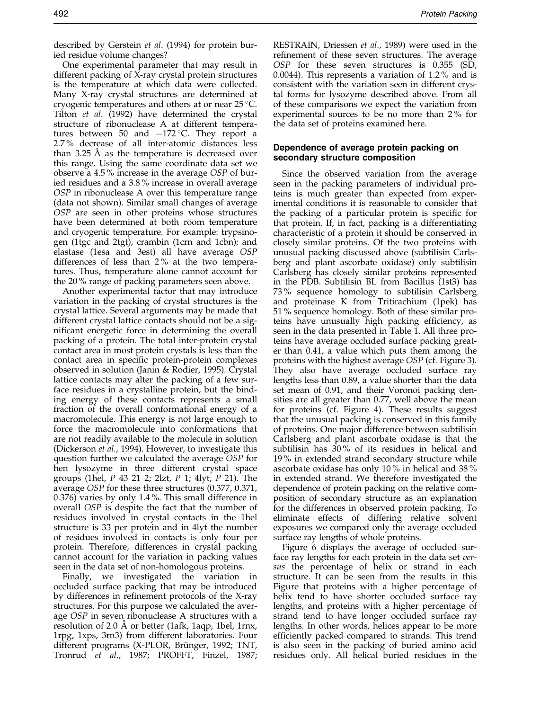described by [Gerstein](#page-10-0) et al. (1994) for protein buried residue volume changes?

One experimental parameter that may result in different packing of X-ray crystal protein structures is the temperature at which data were collected. Many X-ray crystal structures are determined at cryogenic temperatures and others at or near 25 C. [Tilton](#page-11-0) *et al.*  $(1992)$  have determined the crystal structure of ribonuclease A at different temperatures between 50 and  $-172$  °C. They report a 2.7 % decrease of all inter-atomic distances less than 3.25 A as the temperature is decreased over this range. Using the same coordinate data set we observe a 4.5 % increase in the average OSP of buried residues and a 3.8 % increase in overall average OSP in ribonuclease A over this temperature range (data not shown). Similar small changes of average OSP are seen in other proteins whose structures have been determined at both room temperature and cryogenic temperature. For example: trypsinogen (1tgc and 2tgt), crambin (1crn and 1cbn); and elastase (1esa and 3est) all have average OSP differences of less than 2 % at the two temperatures. Thus, temperature alone cannot account for the 20 % range of packing parameters seen above.

Another experimental factor that may introduce variation in the packing of crystal structures is the crystal lattice. Several arguments may be made that different crystal lattice contacts should not be a significant energetic force in determining the overall packing of a protein. The total inter-protein crystal contact area in most protein crystals is less than the contact area in specific protein-protein complexes observed in solution [\(Janin & R](#page-10-0)odier, 1995). Crystal lattice contacts may alter the packing of a few surface residues in a crystalline protein, but the binding energy of these contacts represents a small fraction of the overall conformational energy of a macromolecule. This energy is not large enough to force the macromolecule into conformations that are not readily available to the molecule in solution [\(Dickerso](#page-10-0)n et al., 1994). However, to investigate this question further we calculated the average OSP for hen lysozyme in three different crystal space groups (1hel, P 43 21 2; 2lzt, P 1; 4lyt, P 21). The average OSP for these three structures (0.377, 0.371, 0.376) varies by only 1.4 %. This small difference in overall OSP is despite the fact that the number of residues involved in crystal contacts in the 1hel structure is 33 per protein and in 4lyt the number of residues involved in contacts is only four per protein. Therefore, differences in crystal packing cannot account for the variation in packing values seen in the data set of non-homologous proteins.

Finally, we investigated the variation in occluded surface packing that may be introduced by differences in refinement protocols of the X-ray structures. For this purpose we calculated the average OSP in seven ribonuclease A structures with a resolution of 2.0 Å or better (1afk, 1aqp, 1bel, 1rnx, 1rpg, 1xps, 3rn3) from different laboratories. Four different programs (X-PLOR, Brü[nger,](#page-10-0) 1992; TNT, [Tronrud](#page-11-0) et al., 1987; PROFFT, [Finzel,](#page-10-0) 1987; RESTRAIN, [Driessen](#page-10-0) et al., 1989) were used in the refinement of these seven structures. The average OSP for these seven structures is 0.355 (SD, 0.0044). This represents a variation of 1.2 % and is consistent with the variation seen in different crystal forms for lysozyme described above. From all of these comparisons we expect the variation from experimental sources to be no more than 2 % for the data set of proteins examined here.

## Dependence of average protein packing on secondary structure composition

Since the observed variation from the average seen in the packing parameters of individual proteins is much greater than expected from experimental conditions it is reasonable to consider that the packing of a particular protein is specific for that protein. If, in fact, packing is a differentiating characteristic of a protein it should be conserved in closely similar proteins. Of the two proteins with unusual packing discussed above (subtilisin Carlsberg and plant ascorbate oxidase) only subtilisin Carlsberg has closely similar proteins represented in the PDB. Subtilisin BL from Bacillus (1st3) has 73 % sequence homology to subtilisin Carlsberg and proteinase K from Tritirachium (1pek) has 51 % sequence homology. Both of these similar proteins have unusually high packing efficiency, as seen in the data presented in [Table 1.](#page-6-0) All three proteins have average occluded surface packing greater than 0.41, a value which puts them among the proteins with the highest average OSP (cf. Figure 3). They also have average occluded surface ray lengths less than 0.89, a value shorter than the data set mean of 0.91, and their Voronoi packing densities are all greater than 0.77, well above the mean for proteins (cf. Figure 4). These results suggest that the unusual packing is conserved in this family of proteins. One major difference between subtilisin Carlsberg and plant ascorbate oxidase is that the subtilisin has 30 % of its residues in helical and 19 % in extended strand secondary structure while ascorbate oxidase has only 10 % in helical and 38 % in extended strand. We therefore investigated the dependence of protein packing on the relative composition of secondary structure as an explanation for the differences in observed protein packing. To eliminate effects of differing relative solvent exposures we compared only the average occluded surface ray lengths of whole proteins.

Figure 6 displays the average of occluded surface ray lengths for each protein in the data set versus the percentage of helix or strand in each structure. It can be seen from the results in this Figure that proteins with a higher percentage of helix tend to have shorter occluded surface ray lengths, and proteins with a higher percentage of strand tend to have longer occluded surface ray lengths. In other words, helices appear to be more efficiently packed compared to strands. This trend is also seen in the packing of buried amino acid residues only. All helical buried residues in the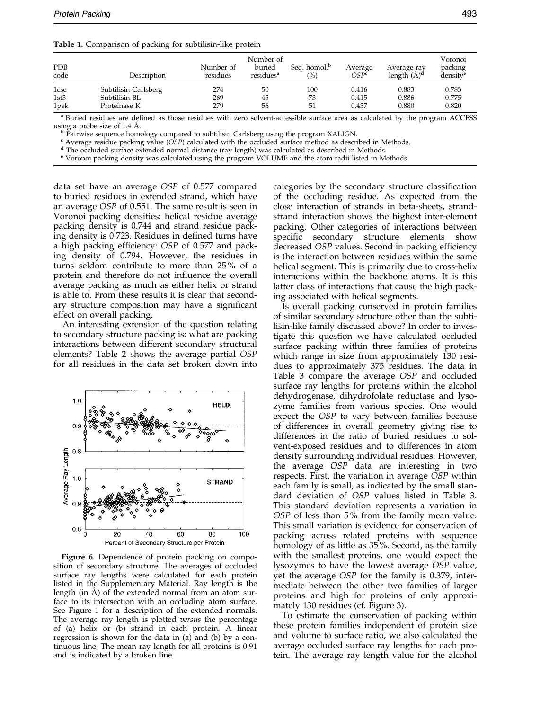<span id="page-6-0"></span>

|  |  |  |  |  |  | Table 1. Comparison of packing for subtilisin-like protein |  |
|--|--|--|--|--|--|------------------------------------------------------------|--|
|--|--|--|--|--|--|------------------------------------------------------------|--|

| <b>PDB</b><br>code | Description                   | Number of<br>residues | Number of<br>buried<br>residues <sup>a</sup> | Seq. homol. <sup>b</sup><br>(%) | Average<br>OSP <sup>c</sup> | Average ray<br>length $(A)^d$ | Voronoi<br>packing<br>density <sup>e</sup> |
|--------------------|-------------------------------|-----------------------|----------------------------------------------|---------------------------------|-----------------------------|-------------------------------|--------------------------------------------|
| 1cse               | Subtilisin Carlsberg          | 274                   | 50                                           | 100                             | 0.416                       | 0.883                         | 0.783                                      |
| 1st3<br>1pek       | Subtilisin BL<br>Proteinase K | 269<br>279            | 45<br>56                                     | 73<br>51                        | 0.415<br>0.437              | 0.886<br>0.880                | 0.775<br>0.820                             |

<sup>a</sup> Buried residues are defined as those residues with zero solvent-accessible surface area as calculated by the program ACCESS using a probe size of 1.4 Å.

b Pairwise sequence homology compared to subtilisin Carlsberg using the program XALIGN.<br>
"Average residue packing value (OSP) calculated with the occluded surface method as described in Methods.<br>
"The occluded surface exte

data set have an average OSP of 0.577 compared to buried residues in extended strand, which have an average OSP of 0.551. The same result is seen in Voronoi packing densities: helical residue average packing density is 0.744 and strand residue packing density is 0.723. Residues in defined turns have a high packing efficiency:  $OSP$  of 0.577 and packing density of 0.794. However, the residues in turns seldom contribute to more than 25 % of a protein and therefore do not influence the overall average packing as much as either helix or strand is able to. From these results it is clear that secondary structure composition may have a significant effect on overall packing.

An interesting extension of the question relating to secondary structure packing is: what are packing interactions between different secondary structural elements? [Table 2](#page-7-0) shows the average partial OSP for all residues in the data set broken down into



Figure 6. Dependence of protein packing on composition of secondary structure. The averages of occluded surface ray lengths were calculated for each protein listed in the Supplementary Material. Ray length is the length (in  $\dot{A}$ ) of the extended normal from an atom surface to its intersection with an occluding atom surface. See Figure 1 for a description of the extended normals. The average ray length is plotted versus the percentage of (a) helix or (b) strand in each protein. A linear regression is shown for the data in (a) and (b) by a continuous line. The mean ray length for all proteins is 0.91 and is indicated by a broken line.

categories by the secondary structure classification of the occluding residue. As expected from the close interaction of strands in beta-sheets, strandstrand interaction shows the highest inter-element packing. Other categories of interactions between specific secondary structure elements show decreased OSP values. Second in packing efficiency is the interaction between residues within the same helical segment. This is primarily due to cross-helix interactions within the backbone atoms. It is this latter class of interactions that cause the high packing associated with helical segments.

Is overall packing conserved in protein families of similar secondary structure other than the subtilisin-like family discussed above? In order to investigate this question we have calculated occluded surface packing within three families of proteins which range in size from approximately 130 residues to approximately 375 residues. The data in [Table 3](#page-7-0) compare the average OSP and occluded surface ray lengths for proteins within the alcohol dehydrogenase, dihydrofolate reductase and lysozyme families from various species. One would expect the OSP to vary between families because of differences in overall geometry giving rise to differences in the ratio of buried residues to solvent-exposed residues and to differences in atom density surrounding individual residues. However, the average OSP data are interesting in two respects. First, the variation in average OSP within each family is small, as indicated by the small standard deviation of OSP values listed in [Table 3.](#page-7-0) This standard deviation represents a variation in OSP of less than 5% from the family mean value. This small variation is evidence for conservation of packing across related proteins with sequence homology of as little as 35 %. Second, as the family with the smallest proteins, one would expect the lysozymes to have the lowest average OSP value, yet the average OSP for the family is 0.379, intermediate between the other two families of larger proteins and high for proteins of only approximately 130 residues (cf. Figure 3).

To estimate the conservation of packing within these protein families independent of protein size and volume to surface ratio, we also calculated the average occluded surface ray lengths for each protein. The average ray length value for the alcohol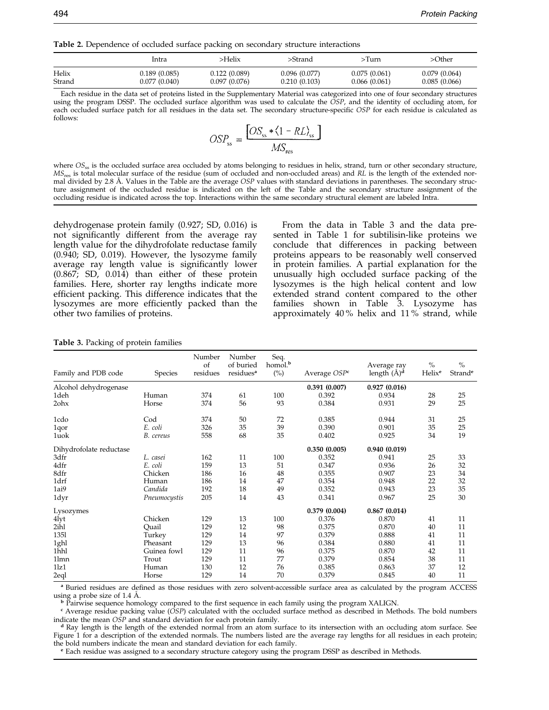<span id="page-7-0"></span>Table 2. Dependence of occluded surface packing on secondary structure interactions

|        | Intra         | >Helix       | >Strand      | >Turn        | >Other       |
|--------|---------------|--------------|--------------|--------------|--------------|
| Helix  | 0.189 (0.085) | 0.122(0.089) | 0.096(0.077) | 0.075(0.061) | 0.079(0.064) |
| Strand | 0.077 (0.040) | 0.097(0.076) | 0.210(0.103) | 0.066(0.061) | 0.085(0.066) |

Each residue in the data set of proteins listed in the Supplementary Material was categorized into one of four secondary structures using the program DSSP. The occluded surface algorithm was used to calculate the  $\tilde{O}SP$ , and the identity of occluding atom, for each occluded surface patch for all residues in the data set. The secondary structure-specific OSP for each residue is calculated as follows:

$$
OSP_{ss} = \frac{[OS_{ss} * \langle 1 - RL \rangle_{ss}]}{MS_{res}}
$$

where  $OS_{ss}$  is the occluded surface area occluded by atoms belonging to residues in helix, strand, turn or other secondary structure,  $MS_{res}$  is total molecular surface of the residue (sum of occluded and non-occluded areas) and RL is the length of the extended normal divided by 2.8 Å. Values in the Table are the average OSP values with standard deviations in parentheses. The secondary structure assignment of the occluded residue is indicated on the left of the Table and the secondary structure assignment of the occluding residue is indicated across the top. Interactions within the same secondary structural element are labeled Intra.

dehydrogenase protein family (0.927; SD, 0.016) is not significantly different from the average ray length value for the dihydrofolate reductase family (0.940; SD, 0.019). However, the lysozyme family average ray length value is significantly lower (0.867; SD, 0.014) than either of these protein families. Here, shorter ray lengths indicate more efficient packing. This difference indicates that the lysozymes are more efficiently packed than the other two families of proteins.

From the data in Table 3 and the data presented in [Table 1](#page-6-0) for subtilisin-like proteins we conclude that differences in packing between proteins appears to be reasonably well conserved in protein families. A partial explanation for the unusually high occluded surface packing of the lysozymes is the high helical content and low extended strand content compared to the other families shown in Table 3. Lysozyme has approximately  $40\%$  helix and  $11\%$  strand, while

| Family and PDB code     | <b>Species</b> | Number<br>of<br>residues | Number<br>of buried<br>residues <sup>a</sup> | Seq.<br>homol. <sup>b</sup><br>$(^{0}_{0})$ | Average OSP <sup>c</sup> | Average ray<br>length $(\AA)^d$ | $\%$<br>Helix <sup>e</sup> | $\frac{0}{0}$<br>Strand <sup>e</sup> |
|-------------------------|----------------|--------------------------|----------------------------------------------|---------------------------------------------|--------------------------|---------------------------------|----------------------------|--------------------------------------|
| Alcohol dehydrogenase   |                |                          |                                              |                                             | 0.391(0.007)             | 0.927(0.016)                    |                            |                                      |
| 1deh                    | Human          | 374                      | 61                                           | 100                                         | 0.392                    | 0.934                           | 28                         | 25                                   |
| 2ohx                    | Horse          | 374                      | 56                                           | 93                                          | 0.384                    | 0.931                           | 29                         | 25                                   |
| 1cdo                    | Cod            | 374                      | 50                                           | 72                                          | 0.385                    | 0.944                           | 31                         | 25                                   |
| 1qor                    | E. coli        | 326                      | 35                                           | 39                                          | 0.390                    | 0.901                           | 35                         | 25                                   |
| 1uok                    | B. cereus      | 558                      | 68                                           | 35                                          | 0.402                    | 0.925                           | 34                         | 19                                   |
| Dihydrofolate reductase |                |                          |                                              |                                             | 0.350(0.005)             | 0.940(0.019)                    |                            |                                      |
| 3dfr                    | L. casei       | 162                      | 11                                           | 100                                         | 0.352                    | 0.941                           | 25                         | 33                                   |
| 4dfr                    | E. coli        | 159                      | 13                                           | 51                                          | 0.347                    | 0.936                           | 26                         | 32                                   |
| 8dfr                    | Chicken        | 186                      | 16                                           | 48                                          | 0.355                    | 0.907                           | 23                         | 34                                   |
| 1drf                    | Human          | 186                      | 14                                           | 47                                          | 0.354                    | 0.948                           | 22                         | 32                                   |
| 1ai9                    | Candida        | 192                      | 18                                           | 49                                          | 0.352                    | 0.943                           | 23                         | 35                                   |
| 1dyr                    | Pneumocystis   | 205                      | 14                                           | 43                                          | 0.341                    | 0.967                           | 25                         | 30                                   |
| Lysozymes               |                |                          |                                              |                                             | 0.379(0.004)             | 0.867(0.014)                    |                            |                                      |
| 4lyt                    | Chicken        | 129                      | 13                                           | 100                                         | 0.376                    | 0.870                           | 41                         | 11                                   |
| 2ihl                    | Quail          | 129                      | 12                                           | 98                                          | 0.375                    | 0.870                           | 40                         | 11                                   |
| 1351                    | Turkey         | 129                      | 14                                           | 97                                          | 0.379                    | 0.888                           | 41                         | 11                                   |
| 1ghl                    | Pheasant       | 129                      | 13                                           | 96                                          | 0.384                    | 0.880                           | 41                         | 11                                   |
| 1hhl                    | Guinea fowl    | 129                      | 11                                           | 96                                          | 0.375                    | 0.870                           | 42                         | 11                                   |
| 11 <sub>mn</sub>        | Trout          | 129                      | 11                                           | 77                                          | 0.379                    | 0.854                           | 38                         | 11                                   |
| 11z1                    | Human          | 130                      | 12                                           | 76                                          | 0.385                    | 0.863                           | 37                         | 12                                   |
| 2eql                    | Horse          | 129                      | 14                                           | 70                                          | 0.379                    | 0.845                           | 40                         | 11                                   |

Table 3. Packing of protein families

<sup>a</sup> Buried residues are defined as those residues with zero solvent-accessible surface area as calculated by the program ACCESS using a probe size of 1.4 Å.

<sup>b</sup> Pairwise sequence homology compared to the first sequence in each family using the program XALIGN.<br>
<sup>c</sup> Average residue packing value (OSP) calculated with the occluded surface method as described in Methods. The bold

 $d$  Ray length is the length of the extended normal from an atom surface to its intersection with an occluding atom surface. See Figure 1 for a description of the extended normals. The numbers listed are the average ray lengths for all residues in each protein; the bold numbers indicate the mean and standard deviation for each family.

 $e$  Each residue was assigned to a secondary structure category using the program DSSP as described in Methods.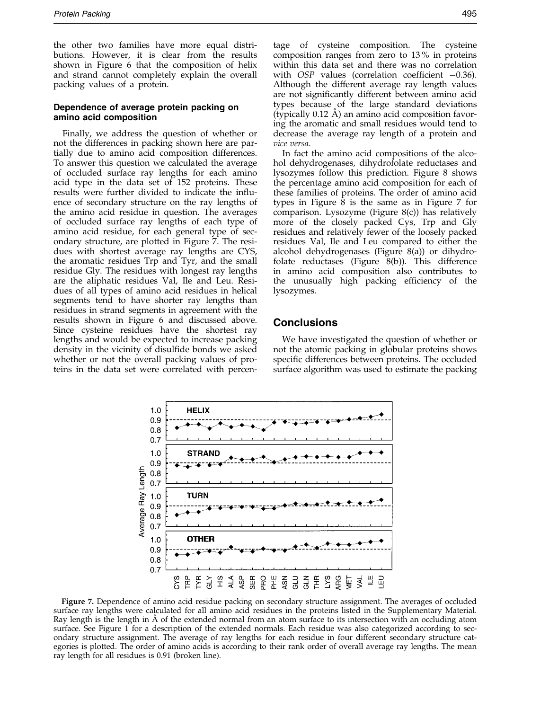the other two families have more equal distributions. However, it is clear from the results shown in Figure 6 that the composition of helix and strand cannot completely explain the overall packing values of a protein.

### Dependence of average protein packing on amino acid composition

Finally, we address the question of whether or not the differences in packing shown here are partially due to amino acid composition differences. To answer this question we calculated the average of occluded surface ray lengths for each amino acid type in the data set of 152 proteins. These results were further divided to indicate the influence of secondary structure on the ray lengths of the amino acid residue in question. The averages of occluded surface ray lengths of each type of amino acid residue, for each general type of secondary structure, are plotted in Figure 7. The residues with shortest average ray lengths are CYS, the aromatic residues Trp and Tyr, and the small residue Gly. The residues with longest ray lengths are the aliphatic residues Val, Ile and Leu. Residues of all types of amino acid residues in helical segments tend to have shorter ray lengths than residues in strand segments in agreement with the results shown in Figure 6 and discussed above. Since cysteine residues have the shortest ray lengths and would be expected to increase packing density in the vicinity of disulfide bonds we asked whether or not the overall packing values of proteins in the data set were correlated with percentage of cysteine composition. The cysteine composition ranges from zero to 13 % in proteins within this data set and there was no correlation with  $OSP$  values (correlation coefficient  $-0.36$ ). Although the different average ray length values are not significantly different between amino acid types because of the large standard deviations (typically  $0.12$  Å) an amino acid composition favoring the aromatic and small residues would tend to decrease the average ray length of a protein and vice versa.

In fact the amino acid compositions of the alcohol dehydrogenases, dihydrofolate reductases and lysozymes follow this prediction. Figure 8 shows the percentage amino acid composition for each of these families of proteins. The order of amino acid types in Figure 8 is the same as in Figure 7 for comparison. Lysozyme (Figure 8(c)) has relatively more of the closely packed Cys, Trp and Gly residues and relatively fewer of the loosely packed residues Val, Ile and Leu compared to either the alcohol dehydrogenases (Figure 8(a)) or dihydrofolate reductases (Figure 8(b)). This difference in amino acid composition also contributes to the unusually high packing efficiency of the lysozymes.

## Conclusions

We have investigated the question of whether or not the atomic packing in globular proteins shows specific differences between proteins. The occluded surface algorithm was used to estimate the packing



Figure 7. Dependence of amino acid residue packing on secondary structure assignment. The averages of occluded surface ray lengths were calculated for all amino acid residues in the proteins listed in the Supplementary Material. Ray length is the length in  $\AA$  of the extended normal from an atom surface to its intersection with an occluding atom surface. See Figure 1 for a description of the extended normals. Each residue was also categorized according to secondary structure assignment. The average of ray lengths for each residue in four different secondary structure categories is plotted. The order of amino acids is according to their rank order of overall average ray lengths. The mean ray length for all residues is 0.91 (broken line).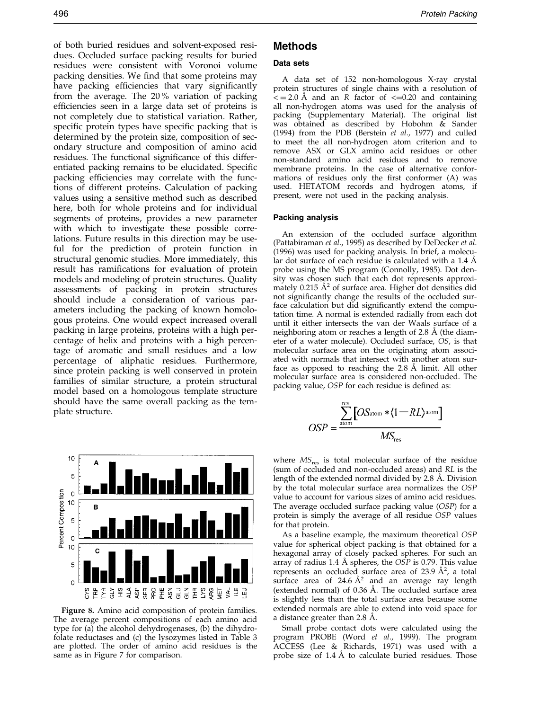of both buried residues and solvent-exposed residues. Occluded surface packing results for buried residues were consistent with Voronoi volume packing densities. We find that some proteins may have packing efficiencies that vary significantly from the average. The 20 % variation of packing efficiencies seen in a large data set of proteins is not completely due to statistical variation. Rather, specific protein types have specific packing that is determined by the protein size, composition of secondary structure and composition of amino acid residues. The functional significance of this differentiated packing remains to be elucidated. Specific packing efficiencies may correlate with the functions of different proteins. Calculation of packing values using a sensitive method such as described here, both for whole proteins and for individual segments of proteins, provides a new parameter with which to investigate these possible correlations. Future results in this direction may be useful for the prediction of protein function in structural genomic studies. More immediately, this result has ramifications for evaluation of protein models and modeling of protein structures. Quality assessments of packing in protein structures should include a consideration of various parameters including the packing of known homologous proteins. One would expect increased overall packing in large proteins, proteins with a high percentage of helix and proteins with a high percentage of aromatic and small residues and a low percentage of aliphatic residues. Furthermore, since protein packing is well conserved in protein families of similar structure, a protein structural model based on a homologous template structure should have the same overall packing as the template structure.



Figure 8. Amino acid composition of protein families. The average percent compositions of each amino acid type for (a) the alcohol dehydrogenases, (b) the dihydrofolate reductases and (c) the lysozymes listed in [Table 3](#page-7-0) are plotted. The order of amino acid residues is the same as in Figure 7 for comparison.

# Methods

#### Data sets

A data set of 152 non-homologous X-ray crystal protein structures of single chains with a resolution of  $\epsilon$  = 2.0 Å and an R factor of  $\epsilon$ =0.20 and containing all non-hydrogen atoms was used for the analysis of packing (Supplementary Material). The original list was obtained as described by [Hobohm](#page-10-0) & Sander (1994) from the PDB (Berstein et al., 1977) and culled to meet the all non-hydrogen atom criterion and to remove ASX or GLX amino acid residues or other non-standard amino acid residues and to remove membrane proteins. In the case of alternative conformations of residues only the first conformer (A) was used. HETATOM records and hydrogen atoms, if present, were not used in the packing analysis.

#### Packing analysis

An extension of the occluded surface algorithm [\(Pattabiram](#page-11-0)an et al., 1995) as described b[y DeDecker](#page-10-0) et al. (1996) was used for packing analysis. In brief, a molecular dot surface of each residue is calculated with a  $1.4 \text{ Å}$ probe using the MS program [\(Connolly,](#page-10-0) 1985). Dot density was chosen such that each dot represents approximately  $0.215 \text{ Å}^2$  of surface area. Higher dot densities did not significantly change the results of the occluded surface calculation but did significantly extend the computation time. A normal is extended radially from each dot until it either intersects the van der Waals surface of a neighboring atom or reaches a length of  $2.8\text{ Å}$  (the diameter of a water molecule). Occluded surface, OS, is that molecular surface area on the originating atom associated with normals that intersect with another atom surface as opposed to reaching the  $2.8$  Å limit. All other molecular surface area is considered non-occluded. The packing value, OSP for each residue is defined as:

$$
OSP = \frac{\sum_{\text{atom}}^{\text{res}} [OS_{\text{atom}} * \langle 1 - RL \rangle^{\text{atom}}]}{MS_{\text{res}}}
$$

where  $MS_{res}$  is total molecular surface of the residue (sum of occluded and non-occluded areas) and RL is the length of the extended normal divided by 2.8 Å. Division by the total molecular surface area normalizes the OSP value to account for various sizes of amino acid residues. The average occluded surface packing value (OSP) for a protein is simply the average of all residue OSP values for that protein.

As a baseline example, the maximum theoretical OSP value for spherical object packing is that obtained for a hexagonal array of closely packed spheres. For such an array of radius 1.4 Å spheres, the  $OSP$  is 0.79. This value represents an occluded surface area of 23.9  $\AA^2$ , a total surface area of 24.6  $A^2$  and an average ray length (extended normal) of  $0.36$  Å. The occluded surface area is slightly less than the total surface area because some extended normals are able to extend into void space for a distance greater than 2.8 Å.

Small probe contact dots were calculated using the program PROBE [\(Word](#page-11-0) et al., 1999). The program ACCESS [\(Lee & R](#page-11-0)ichards, 1971) was used with a probe size of  $1.4 \text{ Å}$  to calculate buried residues. Those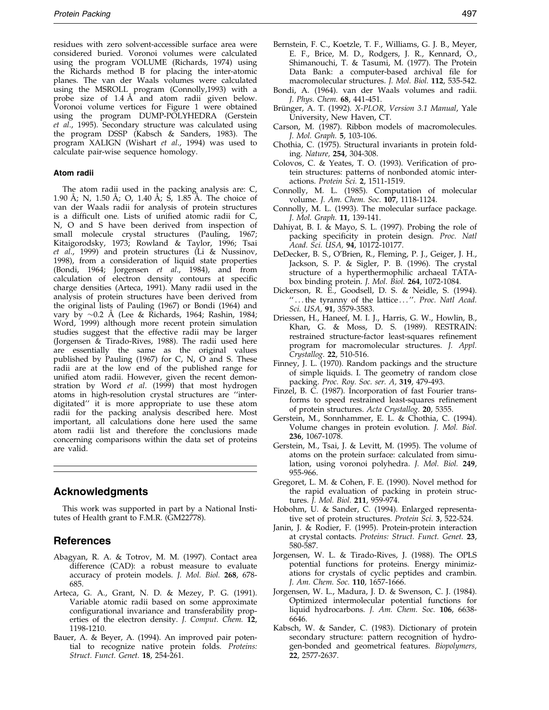<span id="page-10-0"></span>residues with zero solvent-accessible surface area were considered buried. Voronoi volumes were calculated using the program VOLUME [\(Richards,](#page-11-0) 1974) using the Richards method B for placing the inter-atomic planes. The van der Waals volumes were calculated using the MSROLL program (Connolly,1993) with a probe size of 1.4 A and atom radii given below. Voronoi volume vertices for Figure 1 were obtained using the program DUMP-POLYHEDRA (Gerstein et al., 1995). Secondary structure was calculated using the program DSSP (Kabsch & Sanders, 1983). The program XALIGN [\(Wishart](#page-11-0) et al., 1994) was used to calculate pair-wise sequence homology.

#### Atom radii

The atom radii used in the packing analysis are: C, 1.90 Å; N, 1.50 Å; O, 1.40 Å; S, 1.85 Å. The choice of van der Waals radii for analysis of protein structures is a difficult one. Lists of unified atomic radii for C N, O and S have been derived from inspection of small molecule crystal structures [\(Pauling,](#page-11-0) 1967; [Kitaigorod](#page-11-0)sky, 1973; [Rowland](#page-11-0) & Taylor, 1996; [Tsai](#page-11-0) et al., 1999) and protein structures [\(Li & Nu](#page-11-0)ssinov, 1998), from a consideration of liquid state properties (Bondi, 1964; Jorgensen et al., 1984), and from calculation of electron density contours at specific charge densities (Arteca, 1991). Many radii used in the analysis of protein structures have been derived from the original lists of [Pauling \(](#page-11-0)1967) or Bondi (1964) and vary by  $\sim 0.2$  Å (Lee & Richards, 1964; [Rashin, 1](#page-11-0)984; Word, 1999) although more recent protein simulation studies suggest that the effective radii may be larger (Jorgensen & Tirado-Rives, 1988). The radii used here are essentially the same as the original values published by [Pauling \(](#page-11-0)1967) for C, N, O and S. These radii are at the low end of the published range for unified atom radii. However, given the recent demon-stration by [Word](#page-11-0) et al. (1999) that most hydrogen atoms in high-resolution crystal structures are "interdigitated'' it is more appropriate to use these atom radii for the packing analysis described here. Most important, all calculations done here used the same atom radii list and therefore the conclusions made concerning comparisons within the data set of proteins are valid.

# Acknowledgments

This work was supported in part by a National Institutes of Health grant to F.M.R. (GM22778).

## References

- Abagyan, R. A. & Totrov, M. M. (1997). Contact area difference (CAD): a robust measure to evaluate accuracy of protein models. J. Mol. Biol. 268, 678- 685.
- Arteca, G. A., Grant, N. D. & Mezey, P. G. (1991). Variable atomic radii based on some approximate configurational invariance and transferability properties of the electron density. J. Comput. Chem. 12, 1198-1210.
- Bauer, A. & Beyer, A. (1994). An improved pair potential to recognize native protein folds. Proteins: Struct. Funct. Genet. 18, 254-261.
- Bernstein, F. C., Koetzle, T. F., Williams, G. J. B., Meyer, E. F., Brice, M. D., Rodgers, J. R., Kennard, O., Shimanouchi, T. & Tasumi, M. (1977). The Protein Data Bank: a computer-based archival file for macromolecular structures. J. Mol. Biol. 112, 535-542.
- Bondi, A. (1964). van der Waals volumes and radii. J. Phys. Chem. 68, 441-451.
- Brünger, A. T. (1992). X-PLOR, Version 3.1 Manual, Yale University, New Haven, CT.
- Carson, M. (1987). Ribbon models of macromolecules. J. Mol. Graph. 5, 103-106.
- Chothia, C. (1975). Structural invariants in protein folding. Nature, 254, 304-308.
- Colovos, C. & Yeates, T. O. (1993). Verification of protein structures: patterns of nonbonded atomic interactions. Protein Sci. 2, 1511-1519.
- Connolly, M. L. (1985). Computation of molecular volume. J. Am. Chem. Soc. 107, 1118-1124.
- Connolly, M. L. (1993). The molecular surface package. J. Mol. Graph. 11, 139-141.
- Dahiyat, B. I. & Mayo, S. L. (1997). Probing the role of packing specificity in protein design. Proc. Natl Acad. Sci. USA, 94, 10172-10177.
- DeDecker, B. S., O'Brien, R., Fleming, P. J., Geiger, J. H., Jackson, S. P. & Sigler, P. B. (1996). The crystal structure of a hyperthermophilic archaeal TATAbox binding protein. J. Mol. Biol. 264, 1072-1084.
- Dickerson, R. E., Goodsell, D. S. & Neidle, S. (1994). "...the tyranny of the lattice ...". Proc. Natl Acad. Sci. USA, 91, 3579-3583.
- Driessen, H., Haneef, M. I. J., Harris, G. W., Howlin, B., Khan, G. & Moss, D. S. (1989). RESTRAIN: restrained structure-factor least-squares refinement program for macromolecular structures. J. Appl. Crystallog. 22, 510-516.
- Finney, J. L. (1970). Random packings and the structure of simple liquids. I. The geometry of random close packing. Proc. Roy. Soc. ser. A, 319, 479-493.
- Finzel, B. C. (1987). Incorporation of fast Fourier transforms to speed restrained least-squares refinement of protein structures. Acta Crystallog. 20, 5355.
- Gerstein, M., Sonnhammer, E. L. & Chothia, C. (1994). Volume changes in protein evolution. J. Mol. Biol. 236, 1067-1078.
- Gerstein, M., Tsai, J. & Levitt, M. (1995). The volume of atoms on the protein surface: calculated from simulation, using voronoi polyhedra. J. Mol. Biol. 249, 955-966.
- Gregoret, L. M. & Cohen, F. E. (1990). Novel method for the rapid evaluation of packing in protein structures. J. Mol. Biol. 211, 959-974.
- Hobohm, U. & Sander, C. (1994). Enlarged representative set of protein structures. Protein Sci. 3, 522-524.
- Janin, J. & Rodier, F. (1995). Protein-protein interaction at crystal contacts. Proteins: Struct. Funct. Genet. 23, 580-587.
- Jorgensen, W. L. & Tirado-Rives, J. (1988). The OPLS potential functions for proteins. Energy minimizations for crystals of cyclic peptides and crambin. J. Am. Chem. Soc. 110, 1657-1666.
- Jorgensen, W. L., Madura, J. D. & Swenson, C. J. (1984). Optimized intermolecular potential functions for liquid hydrocarbons. J. Am. Chem. Soc. 106, 6638- 6646.
- Kabsch, W. & Sander, C. (1983). Dictionary of protein secondary structure: pattern recognition of hydrogen-bonded and geometrical features. Biopolymers, 22, 2577-2637.